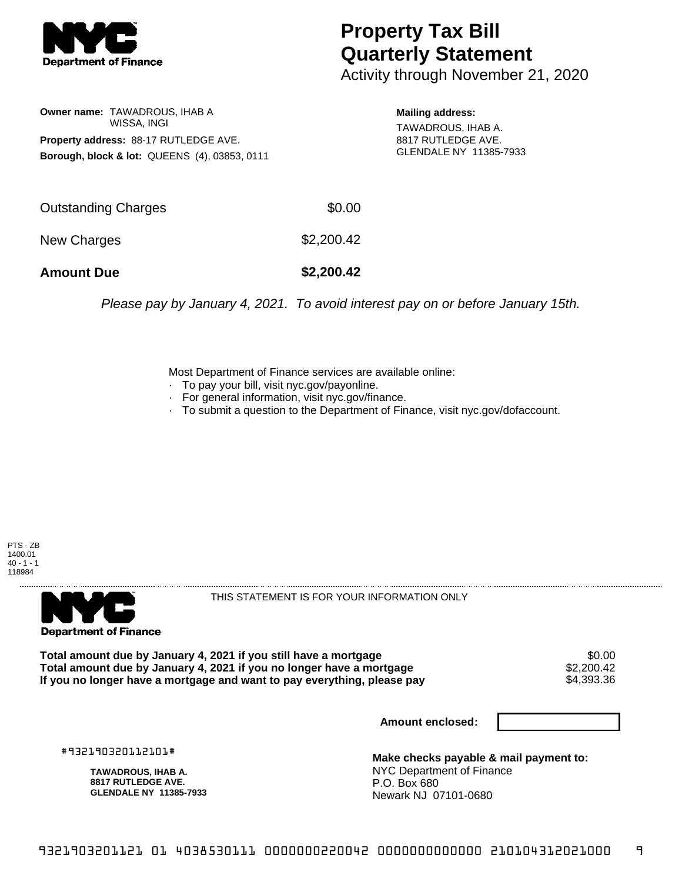

## **Property Tax Bill Quarterly Statement**

Activity through November 21, 2020

**Owner name:** TAWADROUS, IHAB A WISSA, INGI **Property address:** 88-17 RUTLEDGE AVE. **Borough, block & lot:** QUEENS (4), 03853, 0111

**Mailing address:** TAWADROUS, IHAB A. 8817 RUTLEDGE AVE. GLENDALE NY 11385-7933

| <b>Amount Due</b>   | \$2,200.42 |
|---------------------|------------|
| New Charges         | \$2,200.42 |
| Outstanding Charges | \$0.00     |

Please pay by January 4, 2021. To avoid interest pay on or before January 15th.

Most Department of Finance services are available online:

- · To pay your bill, visit nyc.gov/payonline.
- For general information, visit nyc.gov/finance.
- · To submit a question to the Department of Finance, visit nyc.gov/dofaccount.





THIS STATEMENT IS FOR YOUR INFORMATION ONLY

Total amount due by January 4, 2021 if you still have a mortgage \$0.00<br>Total amount due by January 4, 2021 if you no longer have a mortgage \$2.200.42 **Total amount due by January 4, 2021 if you no longer have a mortgage**  $$2,200.42$$ **<br>If you no longer have a mortgage and want to pay everything, please pay** If you no longer have a mortgage and want to pay everything, please pay

**Amount enclosed:**

#932190320112101#

**TAWADROUS, IHAB A. 8817 RUTLEDGE AVE. GLENDALE NY 11385-7933**

**Make checks payable & mail payment to:** NYC Department of Finance P.O. Box 680 Newark NJ 07101-0680